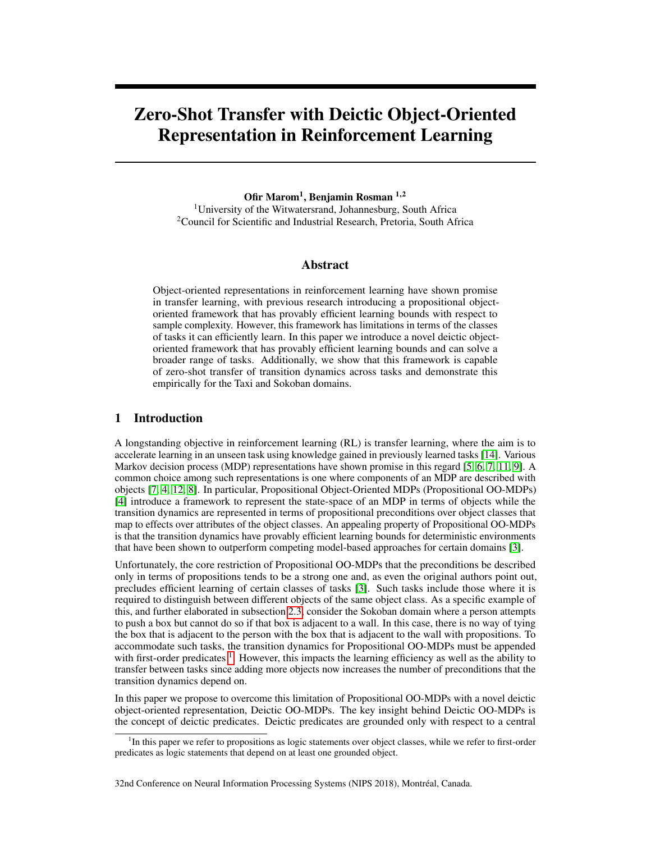# Zero-Shot Transfer with Deictic Object-Oriented Representation in Reinforcement Learning

Ofir Marom<sup>1</sup>, Benjamin Rosman <sup>1,2</sup>

<sup>1</sup>University of the Witwatersrand, Johannesburg, South Africa <sup>2</sup>Council for Scientific and Industrial Research, Pretoria, South Africa

## Abstract

Object-oriented representations in reinforcement learning have shown promise in transfer learning, with previous research introducing a propositional objectoriented framework that has provably efficient learning bounds with respect to sample complexity. However, this framework has limitations in terms of the classes of tasks it can efficiently learn. In this paper we introduce a novel deictic objectoriented framework that has provably efficient learning bounds and can solve a broader range of tasks. Additionally, we show that this framework is capable of zero-shot transfer of transition dynamics across tasks and demonstrate this empirically for the Taxi and Sokoban domains.

## 1 Introduction

A longstanding objective in reinforcement learning (RL) is transfer learning, where the aim is to accelerate learning in an unseen task using knowledge gained in previously learned tasks [\[14\]](#page-8-0). Various Markov decision process (MDP) representations have shown promise in this regard [\[5,](#page-8-1) [6,](#page-8-2) [7,](#page-8-3) [11,](#page-8-4) [9\]](#page-8-5). A common choice among such representations is one where components of an MDP are described with objects [\[7,](#page-8-3) [4,](#page-8-6) [12,](#page-8-7) [8\]](#page-8-8). In particular, Propositional Object-Oriented MDPs (Propositional OO-MDPs) [\[4\]](#page-8-6) introduce a framework to represent the state-space of an MDP in terms of objects while the transition dynamics are represented in terms of propositional preconditions over object classes that map to effects over attributes of the object classes. An appealing property of Propositional OO-MDPs is that the transition dynamics have provably efficient learning bounds for deterministic environments that have been shown to outperform competing model-based approaches for certain domains [\[3\]](#page-8-9).

Unfortunately, the core restriction of Propositional OO-MDPs that the preconditions be described only in terms of propositions tends to be a strong one and, as even the original authors point out, precludes efficient learning of certain classes of tasks [\[3\]](#page-8-9). Such tasks include those where it is required to distinguish between different objects of the same object class. As a specific example of this, and further elaborated in subsection [2.3,](#page-3-0) consider the Sokoban domain where a person attempts to push a box but cannot do so if that box is adjacent to a wall. In this case, there is no way of tying the box that is adjacent to the person with the box that is adjacent to the wall with propositions. To accommodate such tasks, the transition dynamics for Propositional OO-MDPs must be appended with first-order predicates  $<sup>1</sup>$  $<sup>1</sup>$  $<sup>1</sup>$ . However, this impacts the learning efficiency as well as the ability to</sup> transfer between tasks since adding more objects now increases the number of preconditions that the transition dynamics depend on.

In this paper we propose to overcome this limitation of Propositional OO-MDPs with a novel deictic object-oriented representation, Deictic OO-MDPs. The key insight behind Deictic OO-MDPs is the concept of deictic predicates. Deictic predicates are grounded only with respect to a central

<span id="page-0-0"></span><sup>&</sup>lt;sup>1</sup>In this paper we refer to propositions as logic statements over object classes, while we refer to first-order predicates as logic statements that depend on at least one grounded object.

<sup>32</sup>nd Conference on Neural Information Processing Systems (NIPS 2018), Montréal, Canada.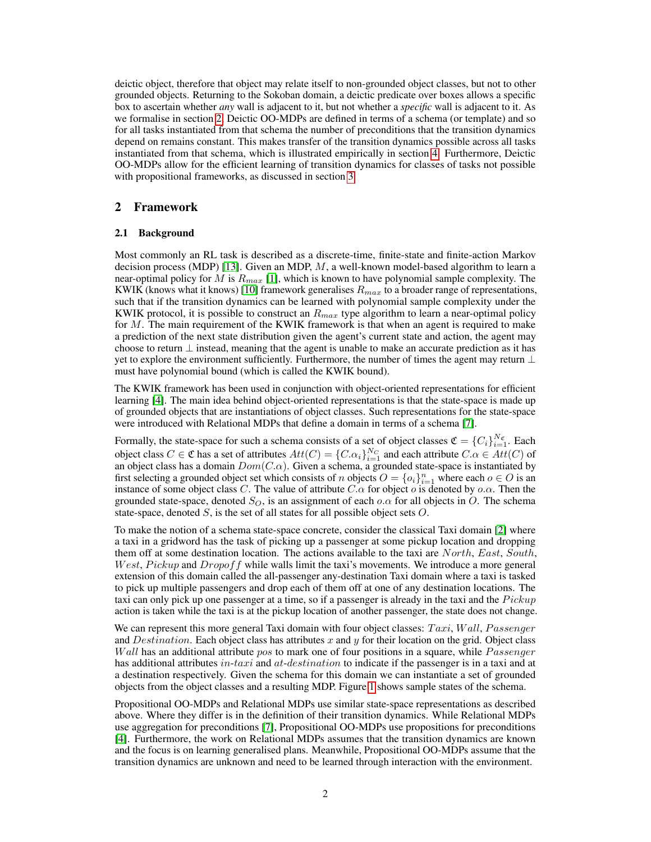deictic object, therefore that object may relate itself to non-grounded object classes, but not to other grounded objects. Returning to the Sokoban domain, a deictic predicate over boxes allows a specific box to ascertain whether *any* wall is adjacent to it, but not whether a *specific* wall is adjacent to it. As we formalise in section [2,](#page-1-0) Deictic OO-MDPs are defined in terms of a schema (or template) and so for all tasks instantiated from that schema the number of preconditions that the transition dynamics depend on remains constant. This makes transfer of the transition dynamics possible across all tasks instantiated from that schema, which is illustrated empirically in section [4.](#page-6-0) Furthermore, Deictic OO-MDPs allow for the efficient learning of transition dynamics for classes of tasks not possible with propositional frameworks, as discussed in section [3.](#page-3-1)

## <span id="page-1-0"></span>2 Framework

#### <span id="page-1-1"></span>2.1 Background

Most commonly an RL task is described as a discrete-time, finite-state and finite-action Markov decision process (MDP) [\[13\]](#page-8-10). Given an MDP,  $M$ , a well-known model-based algorithm to learn a near-optimal policy for M is  $R_{max}$  [\[1\]](#page-8-11), which is known to have polynomial sample complexity. The KWIK (knows what it knows) [\[10\]](#page-8-12) framework generalises  $R_{max}$  to a broader range of representations, such that if the transition dynamics can be learned with polynomial sample complexity under the KWIK protocol, it is possible to construct an  $R_{max}$  type algorithm to learn a near-optimal policy for M. The main requirement of the KWIK framework is that when an agent is required to make a prediction of the next state distribution given the agent's current state and action, the agent may choose to return  $\perp$  instead, meaning that the agent is unable to make an accurate prediction as it has yet to explore the environment sufficiently. Furthermore, the number of times the agent may return  $\perp$ must have polynomial bound (which is called the KWIK bound).

The KWIK framework has been used in conjunction with object-oriented representations for efficient learning [\[4\]](#page-8-6). The main idea behind object-oriented representations is that the state-space is made up of grounded objects that are instantiations of object classes. Such representations for the state-space were introduced with Relational MDPs that define a domain in terms of a schema [\[7\]](#page-8-3).

Formally, the state-space for such a schema consists of a set of object classes  $\mathfrak{C} = \{C_i\}_{i=1}^{N_{\mathfrak{C}}}$ . Each object class  $C \in \mathfrak{C}$  has a set of attributes  $Att(C) = \{C.\alpha_i\}_{i=1}^{N_C}$  and each attribute  $C.\alpha \in Att(C)$  of an object class has a domain  $Dom(C.\alpha)$ . Given a schema, a grounded state-space is instantiated by first selecting a grounded object set which consists of n objects  $O = \{o_i\}_{i=1}^n$  where each  $o \in O$  is an instance of some object class C. The value of attribute  $C.\alpha$  for object  $\alpha$  is denoted by  $\alpha.\alpha$ . Then the grounded state-space, denoted  $S_O$ , is an assignment of each  $o.\alpha$  for all objects in O. The schema state-space, denoted  $S$ , is the set of all states for all possible object sets  $O$ .

To make the notion of a schema state-space concrete, consider the classical Taxi domain [\[2\]](#page-8-13) where a taxi in a gridword has the task of picking up a passenger at some pickup location and dropping them off at some destination location. The actions available to the taxi are  $North, East, South$ , *West, Pickup* and *Dropof f* while walls limit the taxi's movements. We introduce a more general extension of this domain called the all-passenger any-destination Taxi domain where a taxi is tasked to pick up multiple passengers and drop each of them off at one of any destination locations. The taxi can only pick up one passenger at a time, so if a passenger is already in the taxi and the  $Pickup$ action is taken while the taxi is at the pickup location of another passenger, the state does not change.

We can represent this more general Taxi domain with four object classes:  $Taxi$ , Wall, Passenger and Destination. Each object class has attributes x and y for their location on the grid. Object class *Wall* has an additional attribute pos to mark one of four positions in a square, while  $P$  assenger has additional attributes in-taxi and at-destination to indicate if the passenger is in a taxi and at a destination respectively. Given the schema for this domain we can instantiate a set of grounded objects from the object classes and a resulting MDP. Figure [1](#page-2-0) shows sample states of the schema.

Propositional OO-MDPs and Relational MDPs use similar state-space representations as described above. Where they differ is in the definition of their transition dynamics. While Relational MDPs use aggregation for preconditions [\[7\]](#page-8-3), Propositional OO-MDPs use propositions for preconditions [\[4\]](#page-8-6). Furthermore, the work on Relational MDPs assumes that the transition dynamics are known and the focus is on learning generalised plans. Meanwhile, Propositional OO-MDPs assume that the transition dynamics are unknown and need to be learned through interaction with the environment.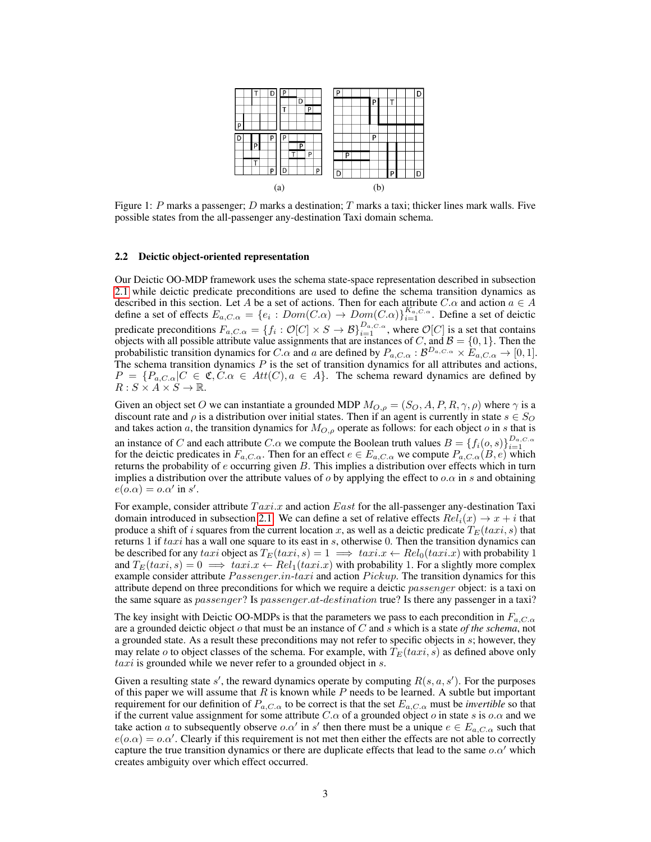<span id="page-2-3"></span><span id="page-2-2"></span><span id="page-2-0"></span>

Figure 1: P marks a passenger; D marks a destination; T marks a taxi; thicker lines mark walls. Five possible states from the all-passenger any-destination Taxi domain schema.

#### <span id="page-2-1"></span>2.2 Deictic object-oriented representation

Our Deictic OO-MDP framework uses the schema state-space representation described in subsection [2.1](#page-1-1) while deictic predicate preconditions are used to define the schema transition dynamics as described in this section. Let A be a set of actions. Then for each attribute  $C.\alpha$  and action  $a \in A$ define a set of effects  $E_{a,C,\alpha} = \{e_i : Dom(C.\alpha) \to Dom(C.\alpha)\}_{i=1}^{K_{a,C,\alpha}}$ . Define a set of deictic predicate preconditions  $F_{a,C,\alpha} = \{f_i : \mathcal{O}[C] \times S \to \mathcal{B}\}_{i=1}^{D_{a,C,\alpha}}$ , where  $\mathcal{O}[C]$  is a set that contains objects with all possible attribute value assignments that are instances of C, and  $\mathcal{B} = \{0, 1\}$ . Then the probabilistic transition dynamics for C. $\alpha$  and a are defined by  $P_{a,C,\alpha}$  :  $\mathcal{B}^{D_{a,C,\alpha}} \times E_{a,C,\alpha} \to [0,1]$ . The schema transition dynamics  $P$  is the set of transition dynamics for all attributes and actions,  $P = \{P_{a,C,\alpha} | C \in \mathfrak{C}, C.\alpha \in Att(C), a \in A\}.$  The schema reward dynamics are defined by  $R: S \times A \times S \rightarrow \mathbb{R}$ .

Given an object set O we can instantiate a grounded MDP  $M_{O,\rho} = (S_O, A, P, R, \gamma, \rho)$  where  $\gamma$  is a discount rate and  $\rho$  is a distribution over initial states. Then if an agent is currently in state  $s \in S_O$ and takes action a, the transition dynamics for  $M_{O,\rho}$  operate as follows: for each object o in s that is an instance of C and each attribute C. $\alpha$  we compute the Boolean truth values  $B = \{f_i(o, s)\}_{i=1}^{D_{a,C,\alpha}}$ for the deictic predicates in  $F_{a,C,\alpha}$ . Then for an effect  $e \in E_{a,C,\alpha}$  we compute  $P_{a,C,\alpha}(B,e)$  which returns the probability of  $e$  occurring given  $B$ . This implies a distribution over effects which in turn implies a distribution over the attribute values of  $o$  by applying the effect to  $o.\alpha$  in s and obtaining  $e(o.\alpha) = o.\alpha'$  in s'.

For example, consider attribute  $Taxi.x$  and action East for the all-passenger any-destination Taxi domain introduced in subsection [2.1.](#page-1-1) We can define a set of relative effects  $Rel_i(x) \rightarrow x + i$  that produce a shift of i squares from the current location x, as well as a deictic predicate  $T_E(taxi, s)$  that returns 1 if  $taxi$  has a wall one square to its east in s, otherwise 0. Then the transition dynamics can be described for any taxi object as  $T_E(taxi, s) = 1 \implies taxix \leftarrow Rel_0(taxi.x)$  with probability 1 and  $T_E(taxi, s) = 0 \implies taxi.x \leftarrow Rel_1(taxi.x)$  with probability 1. For a slightly more complex example consider attribute  $Passenger.in-taxi$  and action  $Pickup$ . The transition dynamics for this attribute depend on three preconditions for which we require a deictic *passenger* object: is a taxi on the same square as *passenger*? Is *passenger.at-destination* true? Is there any passenger in a taxi?

The key insight with Deictic OO-MDPs is that the parameters we pass to each precondition in  $F_{a,C,\alpha}$ are a grounded deictic object o that must be an instance of C and s which is a state *of the schema*, not a grounded state. As a result these preconditions may not refer to specific objects in s; however, they may relate o to object classes of the schema. For example, with  $T_E(taxi, s)$  as defined above only  $taxi$  is grounded while we never refer to a grounded object in  $s$ .

Given a resulting state  $s'$ , the reward dynamics operate by computing  $R(s, a, s')$ . For the purposes of this paper we will assume that  $R$  is known while  $P$  needs to be learned. A subtle but important requirement for our definition of  $P_{a,C,\alpha}$  to be correct is that the set  $E_{a,C,\alpha}$  must be *invertible* so that if the current value assignment for some attribute C. $\alpha$  of a grounded object  $\alpha$  in state s is  $\alpha.\alpha$  and we take action a to subsequently observe o.a' in s' then there must be a unique  $e \in E_{a,C,\alpha}$  such that  $e(o.\alpha) = o.\alpha'$ . Clearly if this requirement is not met then either the effects are not able to correctly capture the true transition dynamics or there are duplicate effects that lead to the same  $o.\alpha'$  which creates ambiguity over which effect occurred.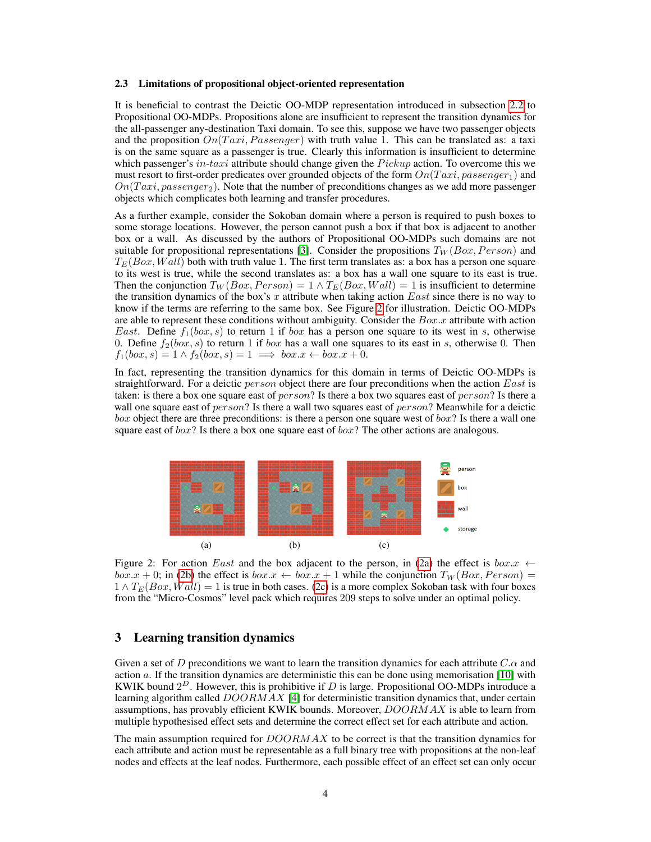#### <span id="page-3-0"></span>2.3 Limitations of propositional object-oriented representation

It is beneficial to contrast the Deictic OO-MDP representation introduced in subsection [2.2](#page-2-1) to Propositional OO-MDPs. Propositions alone are insufficient to represent the transition dynamics for the all-passenger any-destination Taxi domain. To see this, suppose we have two passenger objects and the proposition  $On(T a xi, Passenger)$  with truth value 1. This can be translated as: a taxi is on the same square as a passenger is true. Clearly this information is insufficient to determine which passenger's in-taxi attribute should change given the  $Pickup$  action. To overcome this we must resort to first-order predicates over grounded objects of the form  $On(Taxi, passenger_1)$  and  $On(T a xi, passenger_2)$ . Note that the number of preconditions changes as we add more passenger objects which complicates both learning and transfer procedures.

As a further example, consider the Sokoban domain where a person is required to push boxes to some storage locations. However, the person cannot push a box if that box is adjacent to another box or a wall. As discussed by the authors of Propositional OO-MDPs such domains are not suitable for propositional representations [\[3\]](#page-8-9). Consider the propositions  $T_W (Box, Person)$  and  $T_E(Box, Wall)$  both with truth value 1. The first term translates as: a box has a person one square to its west is true, while the second translates as: a box has a wall one square to its east is true. Then the conjunction  $T_W (Box, Person) = 1 \wedge T_E (Box, Wall) = 1$  is insufficient to determine the transition dynamics of the box's x attribute when taking action East since there is no way to know if the terms are referring to the same box. See Figure [2](#page-3-2) for illustration. Deictic OO-MDPs are able to represent these conditions without ambiguity. Consider the  $Box.x$  attribute with action *East.* Define  $f_1(box, s)$  to return 1 if box has a person one square to its west in s, otherwise 0. Define  $f_2(b\alpha, s)$  to return 1 if  $b\alpha x$  has a wall one squares to its east in s, otherwise 0. Then  $f_1(box, s) = 1 \land f_2(box, s) = 1 \implies box.x \leftarrow box.x + 0.$ 

In fact, representing the transition dynamics for this domain in terms of Deictic OO-MDPs is straightforward. For a deictic *person* object there are four preconditions when the action East is taken: is there a box one square east of *person*? Is there a box two squares east of *person*? Is there a wall one square east of person? Is there a wall two squares east of person? Meanwhile for a deictic  $box$  object there are three preconditions: is there a person one square west of  $box$ ? Is there a wall one square east of  $box$ ? Is there a box one square east of  $box$ ? The other actions are analogous.

<span id="page-3-5"></span><span id="page-3-4"></span><span id="page-3-3"></span><span id="page-3-2"></span>

Figure 2: For action East and the box adjacent to the person, in [\(2a\)](#page-3-3) the effect is  $box.x \leftarrow$  $box.x + 0$ ; in [\(2b\)](#page-3-4) the effect is  $box.x \leftarrow box.x + 1$  while the conjunction  $T_W (Box, Person) =$  $1 \wedge T_E(Box, Wall) = 1$  is true in both cases. [\(2c\)](#page-3-5) is a more complex Sokoban task with four boxes from the "Micro-Cosmos" level pack which requires 209 steps to solve under an optimal policy.

## <span id="page-3-1"></span>3 Learning transition dynamics

Given a set of D preconditions we want to learn the transition dynamics for each attribute  $C.\alpha$  and action a. If the transition dynamics are deterministic this can be done using memorisation [\[10\]](#page-8-12) with KWIK bound  $2^D$ . However, this is prohibitive if D is large. Propositional OO-MDPs introduce a learning algorithm called  $DOORMAX$  [\[4\]](#page-8-6) for deterministic transition dynamics that, under certain assumptions, has provably efficient KWIK bounds. Moreover,  $DOORMAX$  is able to learn from multiple hypothesised effect sets and determine the correct effect set for each attribute and action.

The main assumption required for  $DOORMAX$  to be correct is that the transition dynamics for each attribute and action must be representable as a full binary tree with propositions at the non-leaf nodes and effects at the leaf nodes. Furthermore, each possible effect of an effect set can only occur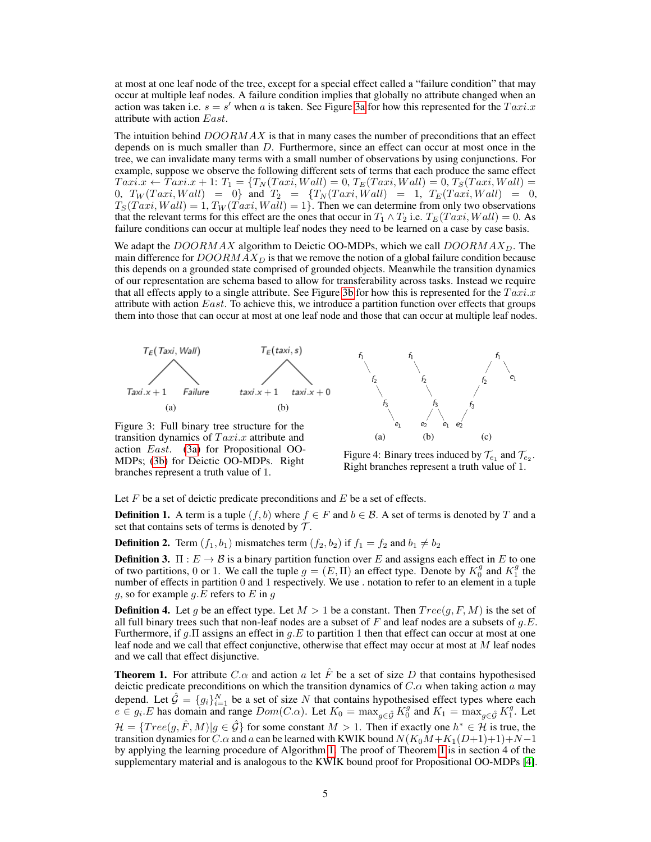at most at one leaf node of the tree, except for a special effect called a "failure condition" that may occur at multiple leaf nodes. A failure condition implies that globally no attribute changed when an action was taken i.e.  $s = s'$  when a is taken. See Figure [3a](#page-4-0) for how this represented for the  $Taxi.x$ attribute with action East.

The intuition behind  $DOORMAX$  is that in many cases the number of preconditions that an effect depends on is much smaller than  $D$ . Furthermore, since an effect can occur at most once in the tree, we can invalidate many terms with a small number of observations by using conjunctions. For example, suppose we observe the following different sets of terms that each produce the same effect  $Taxi.x \leftarrow Taxi.x + 1: T_1 = \{T_N(Taxi, Wall) = 0, T_E(Taxi, Wall) = 0, T_S(Taxi, Wall) = 0\}$ 0,  $T_W(Taxi, Wall) = 0$ } and  $T_2 = {T_N(Taxi, Wall) = 1, T_E(Taxi, Wall) = 0,$  $T_S(Taxi, Wall) = 1, T_W(Taxi, Wall) = 1$ . Then we can determine from only two observations that the relevant terms for this effect are the ones that occur in  $T_1 \wedge T_2$  i.e.  $T_E(Taxi, Wall) = 0$ . As failure conditions can occur at multiple leaf nodes they need to be learned on a case by case basis.

We adapt the  $DOORMAX$  algorithm to Deictic OO-MDPs, which we call  $DOORMAX_D$ . The main difference for  $DOORMAX_D$  is that we remove the notion of a global failure condition because this depends on a grounded state comprised of grounded objects. Meanwhile the transition dynamics of our representation are schema based to allow for transferability across tasks. Instead we require that all effects apply to a single attribute. See Figure [3b](#page-4-1) for how this is represented for the  $Taxi.x$ attribute with action  $East$ . To achieve this, we introduce a partition function over effects that groups them into those that can occur at most at one leaf node and those that can occur at multiple leaf nodes.

<span id="page-4-0"></span>

<span id="page-4-1"></span>Figure 3: Full binary tree structure for the transition dynamics of  $Taxi.x$  attribute and action East. [\(3a\)](#page-4-0) for Propositional OO-MDPs; [\(3b\)](#page-4-1) for Deictic OO-MDPs. Right branches represent a truth value of 1.

<span id="page-4-3"></span>

<span id="page-4-5"></span><span id="page-4-4"></span>Figure 4: Binary trees induced by  $\mathcal{T}_{e_1}$  and  $\mathcal{T}_{e_2}$ . Right branches represent a truth value of 1.

Let  $F$  be a set of deictic predicate preconditions and  $E$  be a set of effects.

**Definition 1.** A term is a tuple  $(f, b)$  where  $f \in F$  and  $b \in \mathcal{B}$ . A set of terms is denoted by T and a set that contains sets of terms is denoted by  $\mathcal{T}$ .

**Definition 2.** Term  $(f_1, b_1)$  mismatches term  $(f_2, b_2)$  if  $f_1 = f_2$  and  $b_1 \neq b_2$ 

**Definition 3.**  $\Pi: E \to \mathcal{B}$  is a binary partition function over E and assigns each effect in E to one of two partitions, 0 or 1. We call the tuple  $g = (E, \Pi)$  an effect type. Denote by  $K_0^g$  and  $K_1^g$  the number of effects in partition 0 and 1 respectively. We use . notation to refer to an element in a tuple g, so for example g. E refers to E in g

**Definition 4.** Let g be an effect type. Let  $M > 1$  be a constant. Then  $Tree(g, F, M)$  is the set of all full binary trees such that non-leaf nodes are a subset of F and leaf nodes are a subsets of  $q.E$ . Furthermore, if q. Π assigns an effect in q. E to partition 1 then that effect can occur at most at one leaf node and we call that effect conjunctive, otherwise that effect may occur at most at M leaf nodes and we call that effect disjunctive.

<span id="page-4-2"></span>**Theorem 1.** For attribute C. $\alpha$  and action a let F be a set of size D that contains hypothesised deictic predicate preconditions on which the transition dynamics of  $C.\alpha$  when taking action a may depend. Let  $\hat{G} = \{g_i\}_{i=1}^N$  be a set of size N that contains hypothesised effect types where each  $e \in g_i.E$  has domain and range  $Dom(C.\alpha)$ . Let  $K_0 = \max_{g \in \hat{\mathcal{G}}} K_0^g$  and  $K_1 = \max_{g \in \hat{\mathcal{G}}} K_1^g$ . Let  $\mathcal{H} = \{Tree(g, \hat{F}, M) | g \in \hat{\mathcal{G}}\}$  for some constant  $M > 1$ . Then if exactly one  $h^* \in \mathcal{H}$  is true, the transition dynamics for C. $\alpha$  and a can be learned with KWIK bound  $N(K_0M+K_1(D+1)+1)+N-1$ by applying the learning procedure of Algorithm [1.](#page-5-0) The proof of Theorem [1](#page-4-2) is in section 4 of the supplementary material and is analogous to the KWIK bound proof for Propositional OO-MDPs [\[4\]](#page-8-6).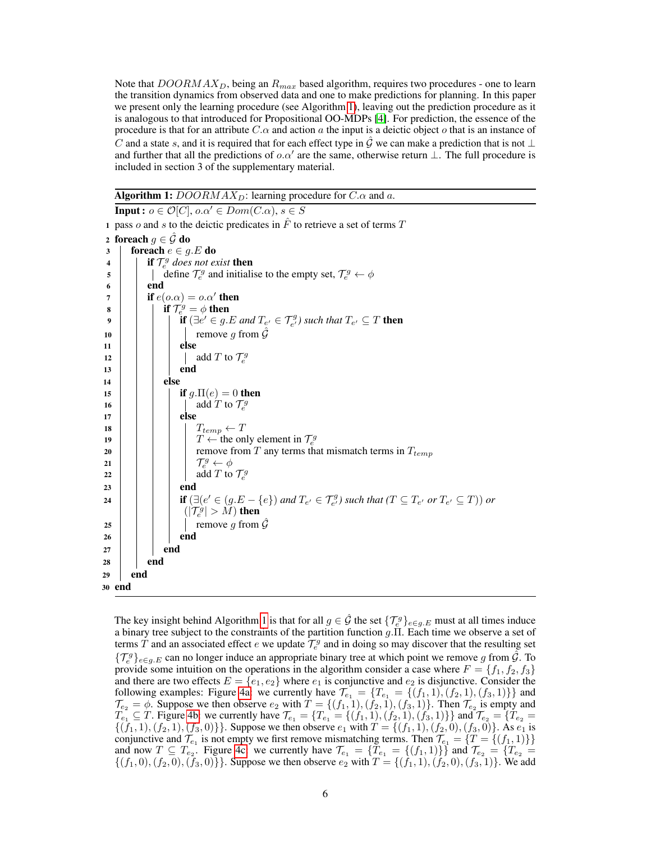Note that  $DOORMAX_D$ , being an  $R_{max}$  based algorithm, requires two procedures - one to learn the transition dynamics from observed data and one to make predictions for planning. In this paper we present only the learning procedure (see Algorithm [1\)](#page-5-0), leaving out the prediction procedure as it is analogous to that introduced for Propositional OO-MDPs [\[4\]](#page-8-6). For prediction, the essence of the procedure is that for an attribute  $C.\alpha$  and action a the input is a deictic object o that is an instance of C and a state s, and it is required that for each effect type in  $\hat{G}$  we can make a prediction that is not  $\perp$ and further that all the predictions of  $o.\alpha'$  are the same, otherwise return  $\bot$ . The full procedure is included in section 3 of the supplementary material.

#### **Algorithm 1:**  $DOORMAX_D$ : learning procedure for  $C.\alpha$  and a.

**Input :**  $o \in \mathcal{O}[C]$ ,  $o.\alpha' \in Dom(C.\alpha)$ ,  $s \in S$ 1 pass o and s to the deictic predicates in  $\ddot{F}$  to retrieve a set of terms  $T$ 2 foreach  $g \in \hat{\mathcal{G}}$  do 3 | foreach  $e \in g.E$  do  $4 \mid \cdot \text{if } \mathcal{T}_{e}^{g} \text{ does not exist } \text{then}$ 5 define  $\mathcal{T}_e^g$  and initialise to the empty set,  $\mathcal{T}_e^g \leftarrow \phi$ 6 end  $7 \mid \cdot \mid$  if  $e(o.\alpha) = o.\alpha'$  then 8 if  $\mathcal{T}_e^g = \phi$  then 9  $\begin{array}{|c|c|c|}\n\hline\n\end{array}$  if  $(∃e' ∈ g.E and T_{e'} ∈ T_{e'}^g)$  such that  $T_{e'} ⊆ T$  then 10 | | | | remove g from  $\hat{G}$  $11$  else 12  $\parallel$   $\parallel$   $\parallel$  add T to  $\mathcal{T}_{e}^{g}$ 13 | | | | | end 14 else 15 | | | if  $q.\Pi(e) = 0$  then 16 | | | | add T to  $\mathcal{T}_e^g$  $17$  else 18  $\vert \vert \vert \vert \vert$   $T_{temp} \leftarrow T$ <sup>19</sup> T ← the only element in T g e 20  $\vert$   $\vert$   $\vert$   $\vert$  remove from T any terms that mismatch terms in  $T_{temp}$ 21  $\vert$   $\vert$   $\vert$   $\vert$   $\vert$   $\vert$   $\tau$  $e^g \leftarrow \phi$ 22  $\Box$  add T to  $\mathcal{T}_e^g$  $23$  | | | end  $\textbf{if } (\exists (e' \in (g.E - \{e\}) \text{ and } T_{e'} \in \mathcal{T}_{e'}^g) \text{ such that } (T \subseteq T_{e'} \text{ or } T_{e'} \subseteq T)) \text{ or }$  $(|\mathcal{T}_e^{\dot{g}}|>\tilde{M})$  then 25 | | | | | remove q from  $\tilde{G}$  $26$  end  $27$  end  $28$  end <sup>29</sup> end <sup>30</sup> end

<span id="page-5-0"></span>The key insight behind Algorithm [1](#page-5-0) is that for all  $g \in \hat{\mathcal{G}}$  the set  $\{\mathcal{T}_e^g\}_{e \in g.E}$  must at all times induce a binary tree subject to the constraints of the partition function  $g.\Pi$ . Each time we observe a set of terms  $\tilde{T}$  and an associated effect  $e$  we update  $\tilde{T}_e^g$  and in doing so may discover that the resulting set  $\{\mathcal{T}_{e}^g\}_{e\in g.E}$  can no longer induce an appropriate binary tree at which point we remove g from  $\hat{\mathcal{G}}$ . To provide some intuition on the operations in the algorithm consider a case where  $F = \{f_1, f_2, f_3\}$ and there are two effects  $E = \{e_1, e_2\}$  where  $e_1$  is conjunctive and  $e_2$  is disjunctive. Consider the following examples: Figure [4a:](#page-4-3) we currently have  $\mathcal{T}_{e_1} = \{T_{e_1} = \{(f_1, 1), (f_2, 1), (f_3, 1)\}\}\$  and  $\mathcal{T}_{e_2} = \phi$ . Suppose we then observe  $e_2$  with  $T = \{(f_1, 1), (f_2, 1), (f_3, 1)\}$ . Then  $\mathcal{T}_{e_2}$  is empty and  $T_{e_1} \subseteq T$ . Figure [4b:](#page-4-4) we currently have  $\mathcal{T}_{e_1} = \{T_{e_1} = \{(f_1, 1), (f_2, 1), (f_3, 1)\}\}\$  and  $\mathcal{T}_{e_2} = \{T_{e_2} = T_{e_3} \}$  $\{(f_1, 1), (f_2, 1), (f_3, 0)\}\.$  Suppose we then observe  $e_1$  with  $T = \{(f_1, 1), (f_2, 0), (f_3, 0)\}.$  As  $e_1$  is conjunctive and  $\mathcal{T}_{e_1}$  is not empty we first remove mismatching terms. Then  $\mathcal{T}_{e_1} = \{T = \{(f_1, 1)\}\}\$ and now  $T \subseteq T_{e_2}$ . Figure [4c:](#page-4-5) we currently have  $\mathcal{T}_{e_1} = \{T_{e_1} = \{(f_1, 1)\}\}\$  and  $\mathcal{T}_{e_2} = \{T_{e_2} = T_{e_3}\}$  $\{(f_1, 0), (f_2, 0), (f_3, 0)\}\.$  Suppose we then observe  $e_2$  with  $T = \{(f_1, 1), (f_2, 0), (f_3, 1)\}\.$  We add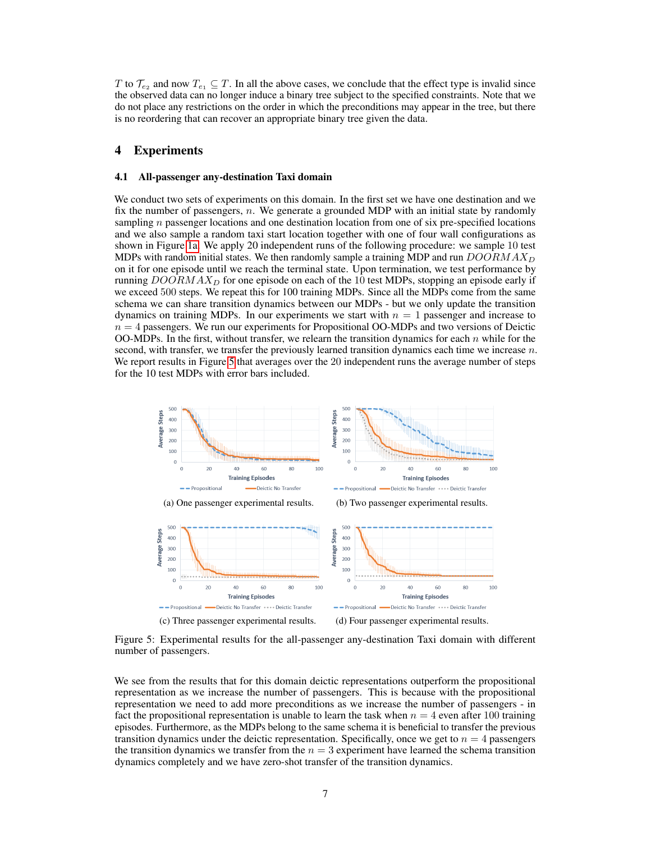T to  $\mathcal{T}_{e_2}$  and now  $T_{e_1} \subseteq T$ . In all the above cases, we conclude that the effect type is invalid since the observed data can no longer induce a binary tree subject to the specified constraints. Note that we do not place any restrictions on the order in which the preconditions may appear in the tree, but there is no reordering that can recover an appropriate binary tree given the data.

## <span id="page-6-0"></span>4 Experiments

#### 4.1 All-passenger any-destination Taxi domain

We conduct two sets of experiments on this domain. In the first set we have one destination and we fix the number of passengers,  $n$ . We generate a grounded MDP with an initial state by randomly sampling  $n$  passenger locations and one destination location from one of six pre-specified locations and we also sample a random taxi start location together with one of four wall configurations as shown in Figure [1a.](#page-2-2) We apply 20 independent runs of the following procedure: we sample 10 test MDPs with random initial states. We then randomly sample a training MDP and run  $DOORMAX_D$ on it for one episode until we reach the terminal state. Upon termination, we test performance by running  $DOORMAX_D$  for one episode on each of the 10 test MDPs, stopping an episode early if we exceed 500 steps. We repeat this for 100 training MDPs. Since all the MDPs come from the same schema we can share transition dynamics between our MDPs - but we only update the transition dynamics on training MDPs. In our experiments we start with  $n = 1$  passenger and increase to  $n = 4$  passengers. We run our experiments for Propositional OO-MDPs and two versions of Deictic OO-MDPs. In the first, without transfer, we relearn the transition dynamics for each  $n$  while for the second, with transfer, we transfer the previously learned transition dynamics each time we increase  $n$ . We report results in Figure [5](#page-6-1) that averages over the 20 independent runs the average number of steps for the 10 test MDPs with error bars included.

<span id="page-6-1"></span>

Figure 5: Experimental results for the all-passenger any-destination Taxi domain with different number of passengers.

We see from the results that for this domain deictic representations outperform the propositional representation as we increase the number of passengers. This is because with the propositional representation we need to add more preconditions as we increase the number of passengers - in fact the propositional representation is unable to learn the task when  $n = 4$  even after 100 training episodes. Furthermore, as the MDPs belong to the same schema it is beneficial to transfer the previous transition dynamics under the deictic representation. Specifically, once we get to  $n = 4$  passengers the transition dynamics we transfer from the  $n = 3$  experiment have learned the schema transition dynamics completely and we have zero-shot transfer of the transition dynamics.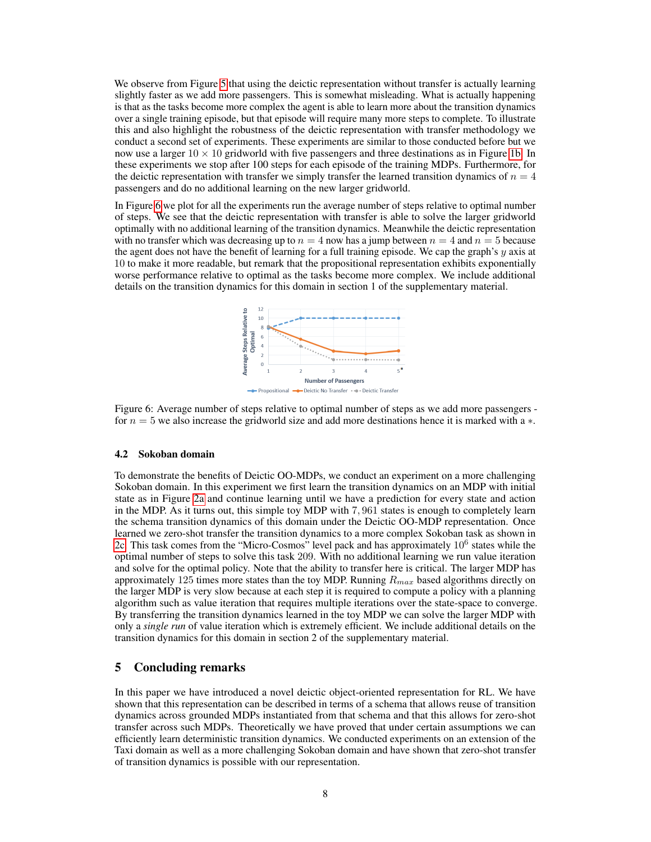We observe from Figure [5](#page-6-1) that using the deictic representation without transfer is actually learning slightly faster as we add more passengers. This is somewhat misleading. What is actually happening is that as the tasks become more complex the agent is able to learn more about the transition dynamics over a single training episode, but that episode will require many more steps to complete. To illustrate this and also highlight the robustness of the deictic representation with transfer methodology we conduct a second set of experiments. These experiments are similar to those conducted before but we now use a larger  $10 \times 10$  gridworld with five passengers and three destinations as in Figure [1b.](#page-2-3) In these experiments we stop after 100 steps for each episode of the training MDPs. Furthermore, for the deictic representation with transfer we simply transfer the learned transition dynamics of  $n = 4$ passengers and do no additional learning on the new larger gridworld.

<span id="page-7-0"></span>In Figure [6](#page-7-0) we plot for all the experiments run the average number of steps relative to optimal number of steps. We see that the deictic representation with transfer is able to solve the larger gridworld optimally with no additional learning of the transition dynamics. Meanwhile the deictic representation with no transfer which was decreasing up to  $n = 4$  now has a jump between  $n = 4$  and  $n = 5$  because the agent does not have the benefit of learning for a full training episode. We cap the graph's y axis at 10 to make it more readable, but remark that the propositional representation exhibits exponentially worse performance relative to optimal as the tasks become more complex. We include additional details on the transition dynamics for this domain in section 1 of the supplementary material.



Figure 6: Average number of steps relative to optimal number of steps as we add more passengers for  $n = 5$  we also increase the gridworld size and add more destinations hence it is marked with a  $\ast$ .

#### 4.2 Sokoban domain

To demonstrate the benefits of Deictic OO-MDPs, we conduct an experiment on a more challenging Sokoban domain. In this experiment we first learn the transition dynamics on an MDP with initial state as in Figure [2a](#page-3-3) and continue learning until we have a prediction for every state and action in the MDP. As it turns out, this simple toy MDP with 7, 961 states is enough to completely learn the schema transition dynamics of this domain under the Deictic OO-MDP representation. Once learned we zero-shot transfer the transition dynamics to a more complex Sokoban task as shown in [2c.](#page-3-5) This task comes from the "Micro-Cosmos" level pack and has approximately  $10^6$  states while the optimal number of steps to solve this task 209. With no additional learning we run value iteration and solve for the optimal policy. Note that the ability to transfer here is critical. The larger MDP has approximately 125 times more states than the toy MDP. Running  $R_{max}$  based algorithms directly on the larger MDP is very slow because at each step it is required to compute a policy with a planning algorithm such as value iteration that requires multiple iterations over the state-space to converge. By transferring the transition dynamics learned in the toy MDP we can solve the larger MDP with only a *single run* of value iteration which is extremely efficient. We include additional details on the transition dynamics for this domain in section 2 of the supplementary material.

## 5 Concluding remarks

In this paper we have introduced a novel deictic object-oriented representation for RL. We have shown that this representation can be described in terms of a schema that allows reuse of transition dynamics across grounded MDPs instantiated from that schema and that this allows for zero-shot transfer across such MDPs. Theoretically we have proved that under certain assumptions we can efficiently learn deterministic transition dynamics. We conducted experiments on an extension of the Taxi domain as well as a more challenging Sokoban domain and have shown that zero-shot transfer of transition dynamics is possible with our representation.